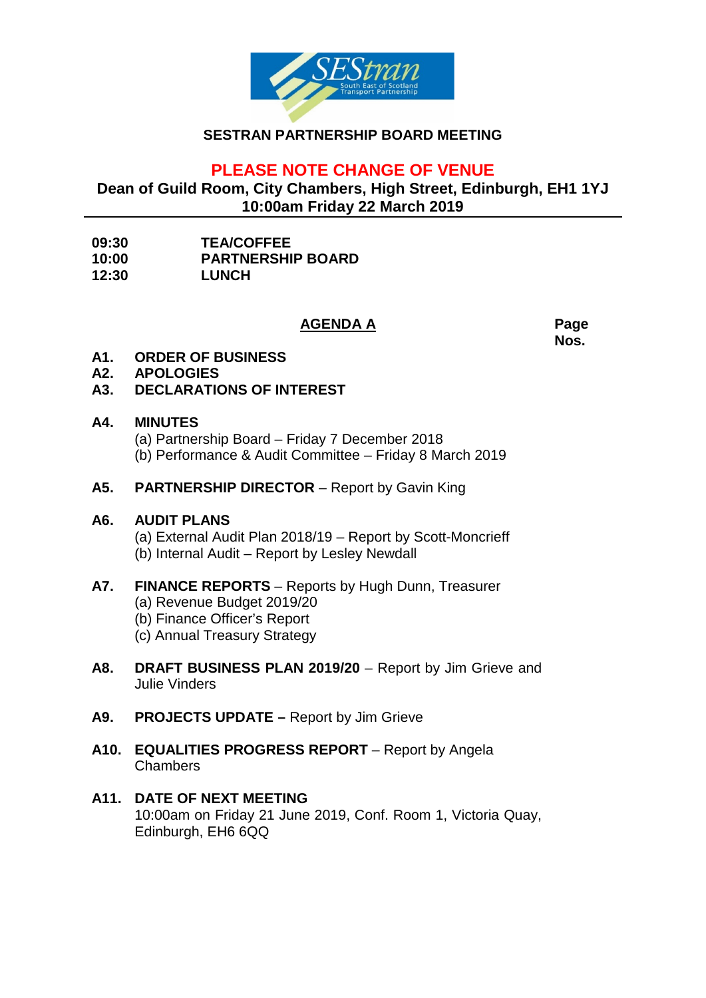

## **SESTRAN PARTNERSHIP BOARD MEETING**

## **PLEASE NOTE CHANGE OF VENUE**

**Dean of Guild Room, City Chambers, High Street, Edinburgh, EH1 1YJ 10:00am Friday 22 March 2019**

- **09:30 TEA/COFFEE 10:00 PARTNERSHIP BOARD**
- **12:30 LUNCH**

# **AGENDA A Page**

**Nos.**

- **A1. ORDER OF BUSINESS**
- **A2. APOLOGIES**
- **A3. DECLARATIONS OF INTEREST**

### **A4. MINUTES**

(a) Partnership Board – Friday 7 December 2018 (b) Performance & Audit Committee – Friday 8 March 2019

**A5. PARTNERSHIP DIRECTOR** – Report by Gavin King

#### **A6. AUDIT PLANS**

(a) External Audit Plan 2018/19 – Report by Scott-Moncrieff (b) Internal Audit – Report by Lesley Newdall

# **A7. FINANCE REPORTS** – Reports by Hugh Dunn, Treasurer (a) Revenue Budget 2019/20

- (b) Finance Officer's Report
- (c) Annual Treasury Strategy
- **A8. DRAFT BUSINESS PLAN 2019/20**  Report by Jim Grieve and Julie Vinders
- **A9. PROJECTS UPDATE –** Report by Jim Grieve
- **A10. EQUALITIES PROGRESS REPORT** Report by Angela **Chambers**

#### **A11. DATE OF NEXT MEETING** 10:00am on Friday 21 June 2019, Conf. Room 1, Victoria Quay, Edinburgh, EH6 6QQ